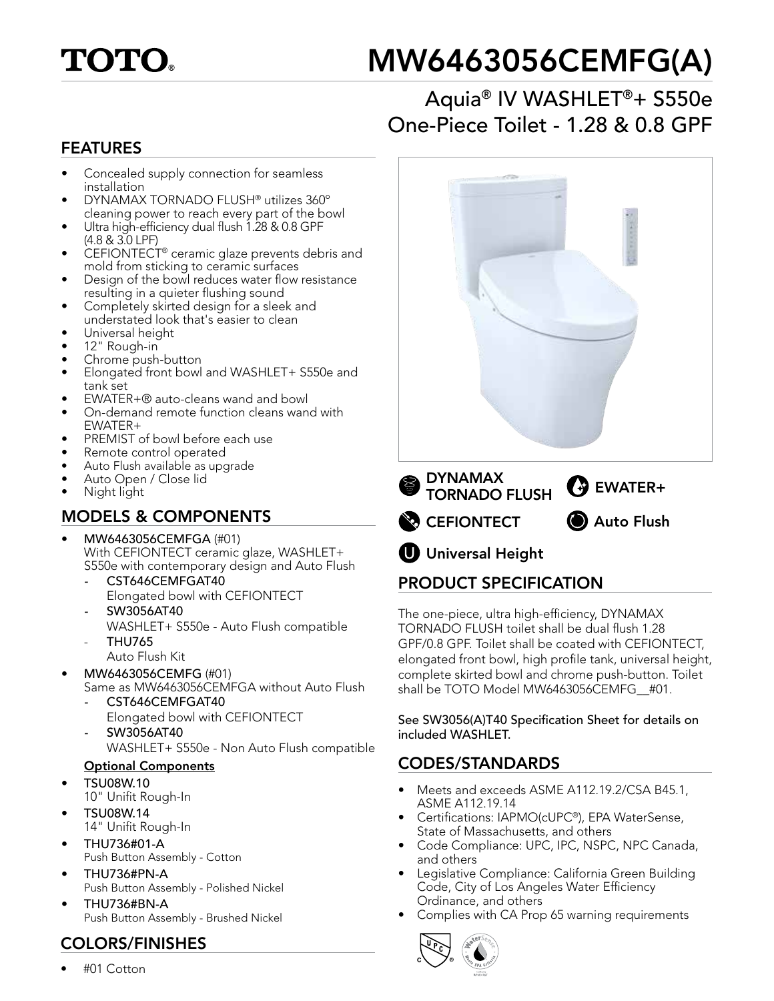

# MW6463056CEMFG(A)

## Aquia® IV WASHLET®+ S550e One-Piece Toilet - 1.28 & 0.8 GPF

#### FEATURES

- Concealed supply connection for seamless installation
- DYNAMAX TORNADO FLUSH® utilizes 360º cleaning power to reach every part of the bowl
- Ultra high-efficiency dual flush 1.28 & 0.8 GPF (4.8 & 3.0 LPF)
- CEFIONTECT® ceramic glaze prevents debris and mold from sticking to ceramic surfaces
- Design of the bowl reduces water flow resistance resulting in a quieter flushing sound
- Completely skirted design for a sleek and understated look that's easier to clean
- Universal height
- 12" Rough-in
- Chrome push-button
- Elongated front bowl and WASHLET+ S550e and tank set
- EWATER+® auto-cleans wand and bowl
- On-demand remote function cleans wand with EWATER+
- PREMIST of bowl before each use
- Remote control operated
- Auto Flush available as upgrade
- Auto Open / Close lid
- Night light

## MODELS & COMPONENTS

- MW6463056CEMFGA (#01) With CEFIONTECT ceramic glaze, WASHLET+ S550e with contemporary design and Auto Flush
	- *-* CST646CEMFGAT40 Elongated bowl with CEFIONTECT
	- *-* SW3056AT40
	- WASHLET+ S550e Auto Flush compatible - THU765
	- Auto Flush Kit
- MW6463056CEMFG (#01) Same as MW6463056CEMFGA without Auto Flush
	- *-* CST646CEMFGAT40 Elongated bowl with CEFIONTECT
	- *-* SW3056AT40 WASHLET+ S550e - Non Auto Flush compatible

#### Optional Components

- TSU08W.10
- 10" Unifit Rough-In
- TSU08W.14 14" Unifit Rough-In
- THU736#01-A Push Button Assembly - Cotton
- THU736#PN-A Push Button Assembly - Polished Nickel
- THU736#BN-A Push Button Assembly - Brushed Nickel

### COLORS/FINISHES

• #01 Cotton



The one-piece, ultra high-efficiency, DYNAMAX TORNADO FLUSH toilet shall be dual flush 1.28 GPF/0.8 GPF. Toilet shall be coated with CEFIONTECT, elongated front bowl, high profile tank, universal height, complete skirted bowl and chrome push-button. Toilet shall be TOTO Model MW6463056CEMFG #01.

See SW3056(A)T40 Specification Sheet for details on included WASHLET.

## CODES/STANDARDS

- Meets and exceeds ASME A112.19.2/CSA B45.1, ASME A112.19.14
- Certifications: IAPMO(cUPC®), EPA WaterSense, State of Massachusetts, and others
- Code Compliance: UPC, IPC, NSPC, NPC Canada, and others
- Legislative Compliance: California Green Building Code, City of Los Angeles Water Efficiency Ordinance, and others
- Complies with CA Prop 65 warning requirements